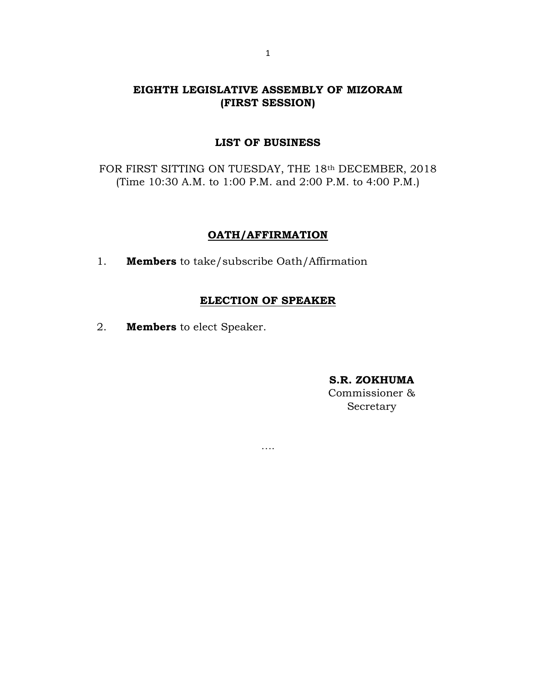# EIGHTH LEGISLATIVE ASSEMBLY OF MIZORAM (FIRST SESSION)

### LIST OF BUSINESS

FOR FIRST SITTING ON TUESDAY, THE 18th DECEMBER, 2018 (Time 10:30 A.M. to 1:00 P.M. and 2:00 P.M. to 4:00 P.M.)

### OATH/AFFIRMATION

1. **Members** to take/subscribe Oath/Affirmation

### ELECTION OF SPEAKER

….

2. Members to elect Speaker.

#### S.R. ZOKHUMA

Commissioner & Secretary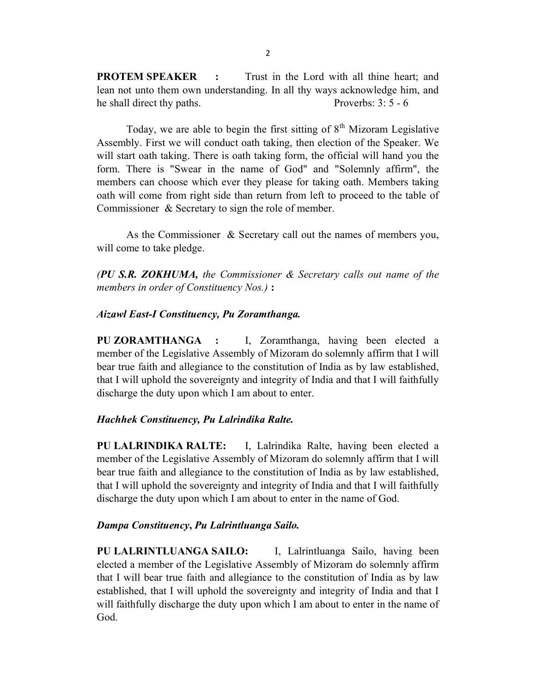**PROTEM SPEAKER** : Trust in the Lord with all thine heart; and lean not unto them own understanding. In all thy ways acknowledge him, and he shall direct thy paths. Proverbs: 3: 5 - 6

Today, we are able to begin the first sitting of  $8<sup>th</sup>$  Mizoram Legislative Assembly. First we will conduct oath taking, then election of the Speaker. We will start oath taking. There is oath taking form, the official will hand you the form. There is "Swear in the name of God" and "Solemnly affirm", the members can choose which ever they please for taking oath. Members taking oath will come from right side than return from left to proceed to the table of Commissioner & Secretary to sign the role of member.

 As the Commissioner & Secretary call out the names of members you, will come to take pledge.

(PU S.R. ZOKHUMA, the Commissioner  $\&$  Secretary calls out name of the members in order of Constituency Nos.) :

### Aizawl East-I Constituency, Pu Zoramthanga.

PU ZORAMTHANGA : I, Zoramthanga, having been elected a member of the Legislative Assembly of Mizoram do solemnly affirm that I will bear true faith and allegiance to the constitution of India as by law established, that I will uphold the sovereignty and integrity of India and that I will faithfully discharge the duty upon which I am about to enter.

#### Hachhek Constituency, Pu Lalrindika Ralte.

PU LALRINDIKA RALTE: I, Lalrindika Ralte, having been elected a member of the Legislative Assembly of Mizoram do solemnly affirm that I will bear true faith and allegiance to the constitution of India as by law established, that I will uphold the sovereignty and integrity of India and that I will faithfully discharge the duty upon which I am about to enter in the name of God.

### Dampa Constituency, Pu Lalrintluanga Sailo.

PU LALRINTLUANGA SAILO: I, Lalrintluanga Sailo, having been elected a member of the Legislative Assembly of Mizoram do solemnly affirm that I will bear true faith and allegiance to the constitution of India as by law established, that I will uphold the sovereignty and integrity of India and that I will faithfully discharge the duty upon which I am about to enter in the name of God.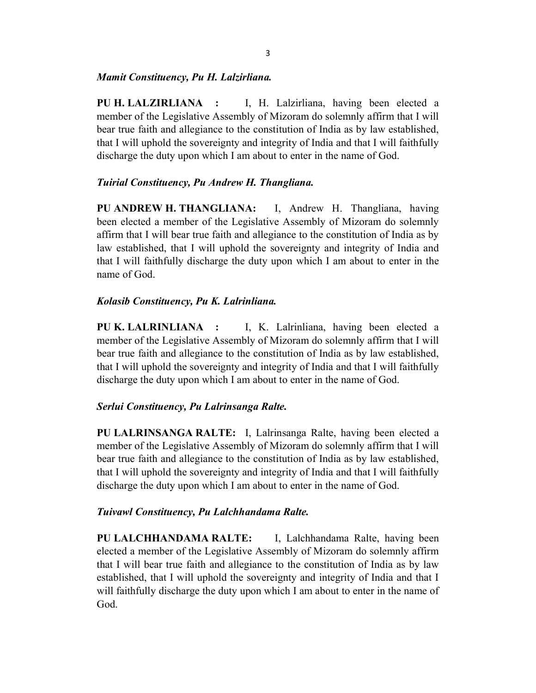### Mamit Constituency, Pu H. Lalzirliana.

PU H. LALZIRLIANA : I, H. Lalzirliana, having been elected a member of the Legislative Assembly of Mizoram do solemnly affirm that I will bear true faith and allegiance to the constitution of India as by law established, that I will uphold the sovereignty and integrity of India and that I will faithfully discharge the duty upon which I am about to enter in the name of God.

## Tuirial Constituency, Pu Andrew H. Thangliana.

PU ANDREW H. THANGLIANA: I, Andrew H. Thangliana, having been elected a member of the Legislative Assembly of Mizoram do solemnly affirm that I will bear true faith and allegiance to the constitution of India as by law established, that I will uphold the sovereignty and integrity of India and that I will faithfully discharge the duty upon which I am about to enter in the name of God.

## Kolasib Constituency, Pu K. Lalrinliana.

PU K. LALRINLIANA : I, K. Lalrinliana, having been elected a member of the Legislative Assembly of Mizoram do solemnly affirm that I will bear true faith and allegiance to the constitution of India as by law established, that I will uphold the sovereignty and integrity of India and that I will faithfully discharge the duty upon which I am about to enter in the name of God.

## Serlui Constituency, Pu Lalrinsanga Ralte.

PU LALRINSANGA RALTE: I, Lalrinsanga Ralte, having been elected a member of the Legislative Assembly of Mizoram do solemnly affirm that I will bear true faith and allegiance to the constitution of India as by law established, that I will uphold the sovereignty and integrity of India and that I will faithfully discharge the duty upon which I am about to enter in the name of God.

## Tuivawl Constituency, Pu Lalchhandama Ralte.

PU LALCHHANDAMA RALTE: I, Lalchhandama Ralte, having been elected a member of the Legislative Assembly of Mizoram do solemnly affirm that I will bear true faith and allegiance to the constitution of India as by law established, that I will uphold the sovereignty and integrity of India and that I will faithfully discharge the duty upon which I am about to enter in the name of God.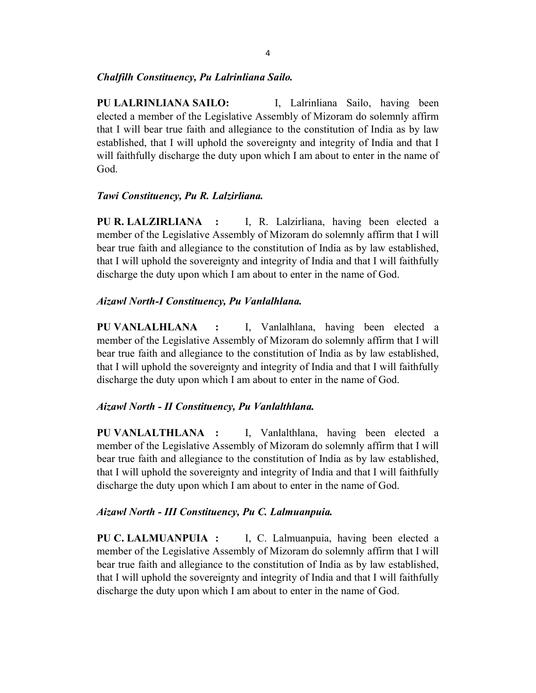## Chalfilh Constituency, Pu Lalrinliana Sailo.

PU LALRINLIANA SAILO: I, Lalrinliana Sailo, having been elected a member of the Legislative Assembly of Mizoram do solemnly affirm that I will bear true faith and allegiance to the constitution of India as by law established, that I will uphold the sovereignty and integrity of India and that I will faithfully discharge the duty upon which I am about to enter in the name of God.

## Tawi Constituency, Pu R. Lalzirliana.

PU R. LALZIRLIANA : I, R. Lalzirliana, having been elected a member of the Legislative Assembly of Mizoram do solemnly affirm that I will bear true faith and allegiance to the constitution of India as by law established, that I will uphold the sovereignty and integrity of India and that I will faithfully discharge the duty upon which I am about to enter in the name of God.

## Aizawl North-I Constituency, Pu Vanlalhlana.

PU VANLALHLANA : I, Vanlalhlana, having been elected a member of the Legislative Assembly of Mizoram do solemnly affirm that I will bear true faith and allegiance to the constitution of India as by law established, that I will uphold the sovereignty and integrity of India and that I will faithfully discharge the duty upon which I am about to enter in the name of God.

## Aizawl North - II Constituency, Pu Vanlalthlana.

PU VANLALTHLANA : I, Vanlalthlana, having been elected a member of the Legislative Assembly of Mizoram do solemnly affirm that I will bear true faith and allegiance to the constitution of India as by law established, that I will uphold the sovereignty and integrity of India and that I will faithfully discharge the duty upon which I am about to enter in the name of God.

## Aizawl North - III Constituency, Pu C. Lalmuanpuia.

PU C. LALMUANPUIA : I, C. Lalmuanpuia, having been elected a member of the Legislative Assembly of Mizoram do solemnly affirm that I will bear true faith and allegiance to the constitution of India as by law established, that I will uphold the sovereignty and integrity of India and that I will faithfully discharge the duty upon which I am about to enter in the name of God.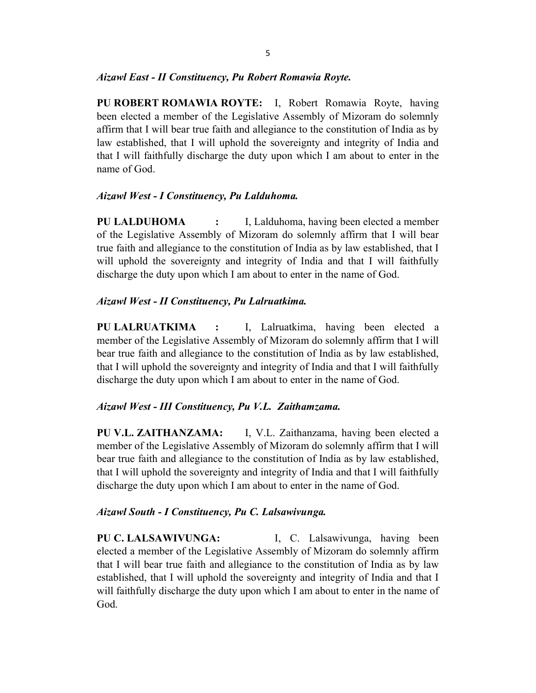### Aizawl East - II Constituency, Pu Robert Romawia Royte.

PU ROBERT ROMAWIA ROYTE: I, Robert Romawia Royte, having been elected a member of the Legislative Assembly of Mizoram do solemnly affirm that I will bear true faith and allegiance to the constitution of India as by law established, that I will uphold the sovereignty and integrity of India and that I will faithfully discharge the duty upon which I am about to enter in the name of God.

## Aizawl West - I Constituency, Pu Lalduhoma.

PU LALDUHOMA : I, Lalduhoma, having been elected a member of the Legislative Assembly of Mizoram do solemnly affirm that I will bear true faith and allegiance to the constitution of India as by law established, that I will uphold the sovereignty and integrity of India and that I will faithfully discharge the duty upon which I am about to enter in the name of God.

### Aizawl West - II Constituency, Pu Lalruatkima.

PU LALRUATKIMA : I, Lalruatkima, having been elected a member of the Legislative Assembly of Mizoram do solemnly affirm that I will bear true faith and allegiance to the constitution of India as by law established, that I will uphold the sovereignty and integrity of India and that I will faithfully discharge the duty upon which I am about to enter in the name of God.

### Aizawl West - III Constituency, Pu V.L. Zaithamzama.

PU V.L. ZAITHANZAMA: I, V.L. Zaithanzama, having been elected a member of the Legislative Assembly of Mizoram do solemnly affirm that I will bear true faith and allegiance to the constitution of India as by law established, that I will uphold the sovereignty and integrity of India and that I will faithfully discharge the duty upon which I am about to enter in the name of God.

### Aizawl South - I Constituency, Pu C. Lalsawivunga.

PU C. LALSAWIVUNGA: [I, C. Lalsawivunga, having been elected a member of the Legislative Assembly of Mizoram do solemnly affirm that I will bear true faith and allegiance to the constitution of India as by law established, that I will uphold the sovereignty and integrity of India and that I will faithfully discharge the duty upon which I am about to enter in the name of God.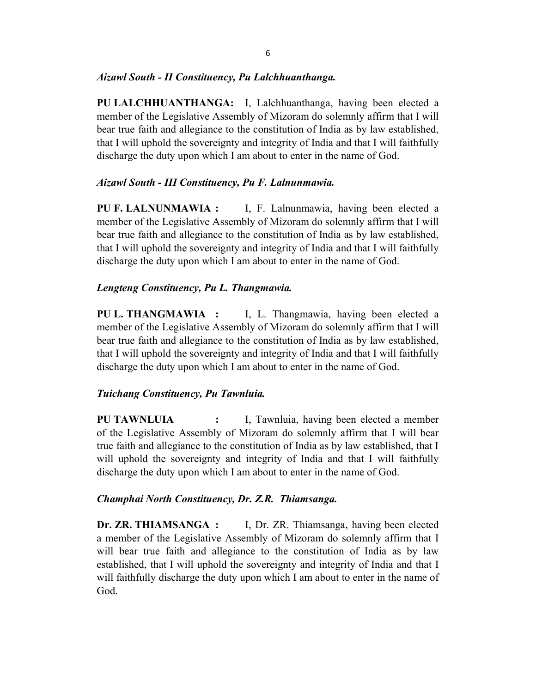## Aizawl South - II Constituency, Pu Lalchhuanthanga.

PU LALCHHUANTHANGA: I, Lalchhuanthanga, having been elected a member of the Legislative Assembly of Mizoram do solemnly affirm that I will bear true faith and allegiance to the constitution of India as by law established, that I will uphold the sovereignty and integrity of India and that I will faithfully discharge the duty upon which I am about to enter in the name of God.

# Aizawl South - III Constituency, Pu F. Lalnunmawia.

PU F. LALNUNMAWIA : I, F. Lalnunmawia, having been elected a member of the Legislative Assembly of Mizoram do solemnly affirm that I will bear true faith and allegiance to the constitution of India as by law established, that I will uphold the sovereignty and integrity of India and that I will faithfully discharge the duty upon which I am about to enter in the name of God.

# Lengteng Constituency, Pu L. Thangmawia.

PU L. THANGMAWIA : I, L. Thangmawia, having been elected a member of the Legislative Assembly of Mizoram do solemnly affirm that I will bear true faith and allegiance to the constitution of India as by law established, that I will uphold the sovereignty and integrity of India and that I will faithfully discharge the duty upon which I am about to enter in the name of God.

# Tuichang Constituency, Pu Tawnluia.

PU TAWNLUIA : I, Tawnluia, having been elected a member of the Legislative Assembly of Mizoram do solemnly affirm that I will bear true faith and allegiance to the constitution of India as by law established, that I will uphold the sovereignty and integrity of India and that I will faithfully discharge the duty upon which I am about to enter in the name of God.

# Champhai North Constituency, Dr. Z.R. Thiamsanga.

Dr. ZR. THIAMSANGA : I, Dr. ZR. Thiamsanga, having been elected a member of the Legislative Assembly of Mizoram do solemnly affirm that I will bear true faith and allegiance to the constitution of India as by law established, that I will uphold the sovereignty and integrity of India and that I will faithfully discharge the duty upon which I am about to enter in the name of God.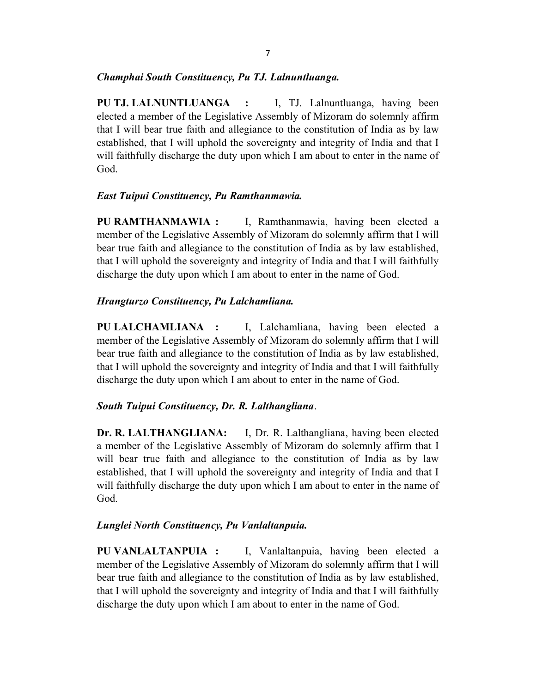## Champhai South Constituency, Pu TJ. Lalnuntluanga.

PU TJ. LALNUNTLUANGA : I, TJ. Lalnuntluanga, having been elected a member of the Legislative Assembly of Mizoram do solemnly affirm that I will bear true faith and allegiance to the constitution of India as by law established, that I will uphold the sovereignty and integrity of India and that I will faithfully discharge the duty upon which I am about to enter in the name of God.

## East Tuipui Constituency, Pu Ramthanmawia.

PU RAMTHANMAWIA : I, Ramthanmawia, having been elected a member of the Legislative Assembly of Mizoram do solemnly affirm that I will bear true faith and allegiance to the constitution of India as by law established, that I will uphold the sovereignty and integrity of India and that I will faithfully discharge the duty upon which I am about to enter in the name of God.

## Hrangturzo Constituency, Pu Lalchamliana.

PU LALCHAMLIANA : I, Lalchamliana, having been elected a member of the Legislative Assembly of Mizoram do solemnly affirm that I will bear true faith and allegiance to the constitution of India as by law established, that I will uphold the sovereignty and integrity of India and that I will faithfully discharge the duty upon which I am about to enter in the name of God.

## South Tuipui Constituency, Dr. R. Lalthangliana.

Dr. R. LALTHANGLIANA: I, Dr. R. Lalthangliana, having been elected a member of the Legislative Assembly of Mizoram do solemnly affirm that I will bear true faith and allegiance to the constitution of India as by law established, that I will uphold the sovereignty and integrity of India and that I will faithfully discharge the duty upon which I am about to enter in the name of God.

## Lunglei North Constituency, Pu Vanlaltanpuia.

PU VANLALTANPUIA : I, Vanlaltanpuia, having been elected a member of the Legislative Assembly of Mizoram do solemnly affirm that I will bear true faith and allegiance to the constitution of India as by law established, that I will uphold the sovereignty and integrity of India and that I will faithfully discharge the duty upon which I am about to enter in the name of God.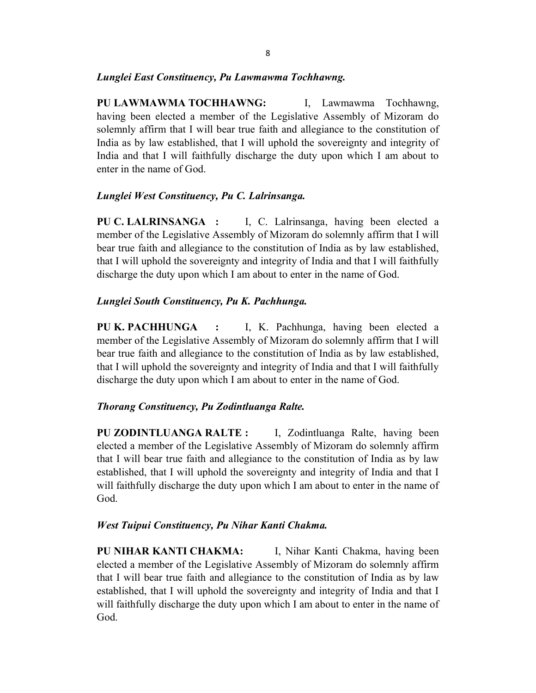### Lunglei East Constituency, Pu Lawmawma Tochhawng.

PU LAWMAWMA TOCHHAWNG: I, Lawmawma Tochhawng, having been elected a member of the Legislative Assembly of Mizoram do solemnly affirm that I will bear true faith and allegiance to the constitution of India as by law established, that I will uphold the sovereignty and integrity of India and that I will faithfully discharge the duty upon which I am about to enter in the name of God.

#### Lunglei West Constituency, Pu C. Lalrinsanga.

PU C. LALRINSANGA : I, C. Lalrinsanga, having been elected a member of the Legislative Assembly of Mizoram do solemnly affirm that I will bear true faith and allegiance to the constitution of India as by law established, that I will uphold the sovereignty and integrity of India and that I will faithfully discharge the duty upon which I am about to enter in the name of God.

### Lunglei South Constituency, Pu K. Pachhunga.

PU K. PACHHUNGA : I, K. Pachhunga, having been elected a member of the Legislative Assembly of Mizoram do solemnly affirm that I will bear true faith and allegiance to the constitution of India as by law established, that I will uphold the sovereignty and integrity of India and that I will faithfully discharge the duty upon which I am about to enter in the name of God.

#### Thorang Constituency, Pu Zodintluanga Ralte.

PU ZODINTLUANGA RALTE : I, Zodintluanga Ralte, having been elected a member of the Legislative Assembly of Mizoram do solemnly affirm that I will bear true faith and allegiance to the constitution of India as by law established, that I will uphold the sovereignty and integrity of India and that I will faithfully discharge the duty upon which I am about to enter in the name of God.

### West Tuipui Constituency, Pu Nihar Kanti Chakma.

PU NIHAR KANTI CHAKMA: I, Nihar Kanti Chakma, having been elected a member of the Legislative Assembly of Mizoram do solemnly affirm that I will bear true faith and allegiance to the constitution of India as by law established, that I will uphold the sovereignty and integrity of India and that I will faithfully discharge the duty upon which I am about to enter in the name of God.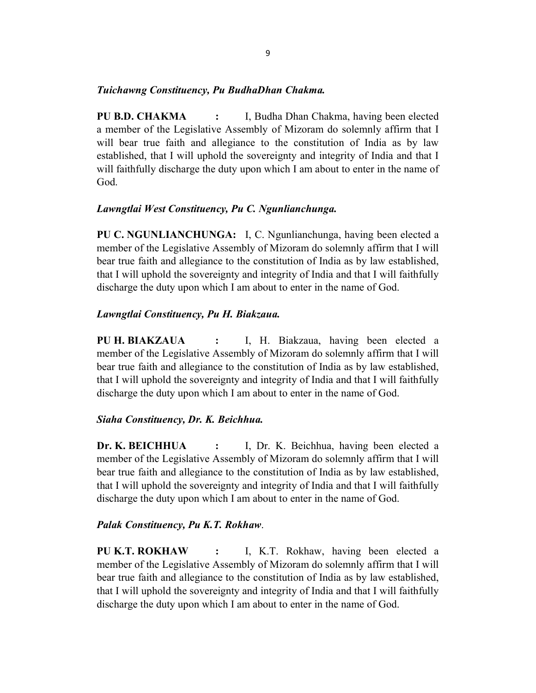### Tuichawng Constituency, Pu BudhaDhan Chakma.

PU B.D. CHAKMA : I, Budha Dhan Chakma, having been elected a member of the Legislative Assembly of Mizoram do solemnly affirm that I will bear true faith and allegiance to the constitution of India as by law established, that I will uphold the sovereignty and integrity of India and that I will faithfully discharge the duty upon which I am about to enter in the name of God.

### Lawngtlai West Constituency, Pu C. Ngunlianchunga.

PU C. NGUNLIANCHUNGA: I, C. Ngunlianchunga, having been elected a member of the Legislative Assembly of Mizoram do solemnly affirm that I will bear true faith and allegiance to the constitution of India as by law established, that I will uphold the sovereignty and integrity of India and that I will faithfully discharge the duty upon which I am about to enter in the name of God.

### Lawngtlai Constituency, Pu H. Biakzaua.

PU H. BIAKZAUA : I, H. Biakzaua, having been elected a member of the Legislative Assembly of Mizoram do solemnly affirm that I will bear true faith and allegiance to the constitution of India as by law established, that I will uphold the sovereignty and integrity of India and that I will faithfully discharge the duty upon which I am about to enter in the name of God.

### Siaha Constituency, Dr. K. Beichhua.

Dr. K. BEICHHUA : J. Dr. K. Beichhua, having been elected a member of the Legislative Assembly of Mizoram do solemnly affirm that I will bear true faith and allegiance to the constitution of India as by law established, that I will uphold the sovereignty and integrity of India and that I will faithfully discharge the duty upon which I am about to enter in the name of God.

### Palak Constituency, Pu K.T. Rokhaw.

PU K.T. ROKHAW : I, K.T. Rokhaw, having been elected a member of the Legislative Assembly of Mizoram do solemnly affirm that I will bear true faith and allegiance to the constitution of India as by law established, that I will uphold the sovereignty and integrity of India and that I will faithfully discharge the duty upon which I am about to enter in the name of God.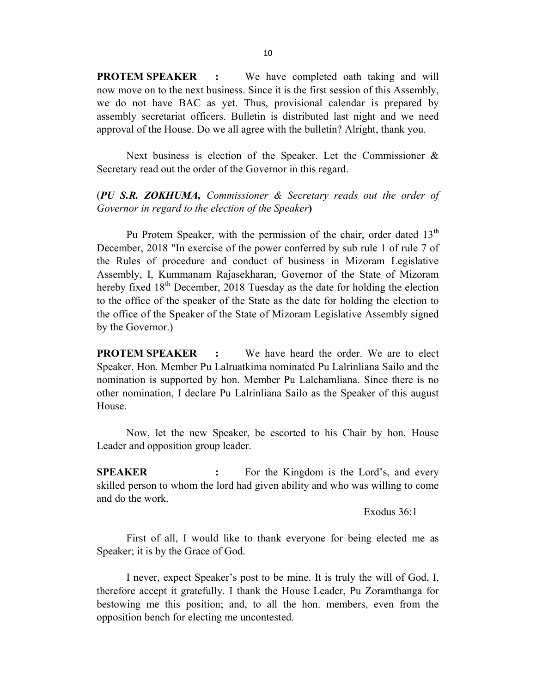**PROTEM SPEAKER** : We have completed oath taking and will now move on to the next business. Since it is the first session of this Assembly, we do not have BAC as yet. Thus, provisional calendar is prepared by assembly secretariat officers. Bulletin is distributed last night and we need approval of the House. Do we all agree with the bulletin? Alright, thank you.

 Next business is election of the Speaker. Let the Commissioner & Secretary read out the order of the Governor in this regard.

## (PU S.R. ZOKHUMA, Commissioner & Secretary reads out the order of Governor in regard to the election of the Speaker)

Pu Protem Speaker, with the permission of the chair, order dated  $13<sup>th</sup>$ December, 2018 "In exercise of the power conferred by sub rule 1 of rule 7 of the Rules of procedure and conduct of business in Mizoram Legislative Assembly, I, Kummanam Rajasekharan, Governor of the State of Mizoram hereby fixed  $18<sup>th</sup>$  December, 2018 Tuesday as the date for holding the election to the office of the speaker of the State as the date for holding the election to the office of the Speaker of the State of Mizoram Legislative Assembly signed by the Governor.)

PROTEM SPEAKER : We have heard the order. We are to elect Speaker. Hon. Member Pu Lalruatkima nominated Pu Lalrinliana Sailo and the nomination is supported by hon. Member Pu Lalchamliana. Since there is no other nomination, I declare Pu Lalrinliana Sailo as the Speaker of this august House.

 Now, let the new Speaker, be escorted to his Chair by hon. House Leader and opposition group leader.

**SPEAKER** : For the Kingdom is the Lord's, and every skilled person to whom the lord had given ability and who was willing to come and do the work.

Exodus 36:1

 First of all, I would like to thank everyone for being elected me as Speaker; it is by the Grace of God.

 I never, expect Speaker's post to be mine. It is truly the will of God, I, therefore accept it gratefully. I thank the House Leader, Pu Zoramthanga for bestowing me this position; and, to all the hon. members, even from the opposition bench for electing me uncontested.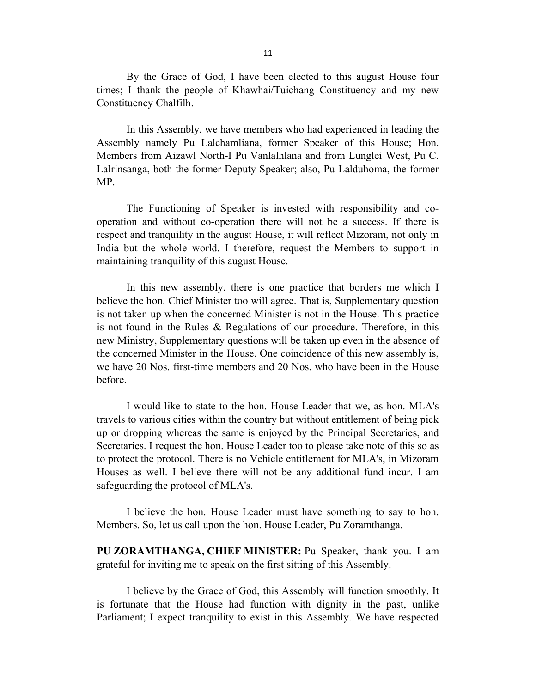By the Grace of God, I have been elected to this august House four times; I thank the people of Khawhai/Tuichang Constituency and my new Constituency Chalfilh.

 In this Assembly, we have members who had experienced in leading the Assembly namely Pu Lalchamliana, former Speaker of this House; Hon. Members from Aizawl North-I Pu Vanlalhlana and from Lunglei West, Pu C. Lalrinsanga, both the former Deputy Speaker; also, Pu Lalduhoma, the former MP.

 The Functioning of Speaker is invested with responsibility and cooperation and without co-operation there will not be a success. If there is respect and tranquility in the august House, it will reflect Mizoram, not only in India but the whole world. I therefore, request the Members to support in maintaining tranquility of this august House.

 In this new assembly, there is one practice that borders me which I believe the hon. Chief Minister too will agree. That is, Supplementary question is not taken up when the concerned Minister is not in the House. This practice is not found in the Rules & Regulations of our procedure. Therefore, in this new Ministry, Supplementary questions will be taken up even in the absence of the concerned Minister in the House. One coincidence of this new assembly is, we have 20 Nos. first-time members and 20 Nos. who have been in the House before.

 I would like to state to the hon. House Leader that we, as hon. MLA's travels to various cities within the country but without entitlement of being pick up or dropping whereas the same is enjoyed by the Principal Secretaries, and Secretaries. I request the hon. House Leader too to please take note of this so as to protect the protocol. There is no Vehicle entitlement for MLA's, in Mizoram Houses as well. I believe there will not be any additional fund incur. I am safeguarding the protocol of MLA's.

 I believe the hon. House Leader must have something to say to hon. Members. So, let us call upon the hon. House Leader, Pu Zoramthanga.

PU ZORAMTHANGA, CHIEF MINISTER: Pu Speaker, thank you. I am grateful for inviting me to speak on the first sitting of this Assembly.

 I believe by the Grace of God, this Assembly will function smoothly. It is fortunate that the House had function with dignity in the past, unlike Parliament; I expect tranquility to exist in this Assembly. We have respected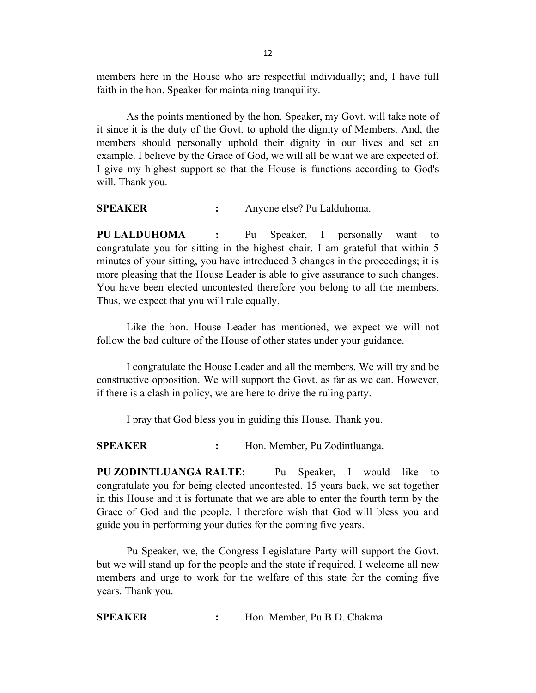members here in the House who are respectful individually; and, I have full faith in the hon. Speaker for maintaining tranquility.

 As the points mentioned by the hon. Speaker, my Govt. will take note of it since it is the duty of the Govt. to uphold the dignity of Members. And, the members should personally uphold their dignity in our lives and set an example. I believe by the Grace of God, we will all be what we are expected of. I give my highest support so that the House is functions according to God's will. Thank you.

SPEAKER : Anyone else? Pu Lalduhoma.

PU LALDUHOMA : Pu Speaker, I personally want to congratulate you for sitting in the highest chair. I am grateful that within 5 minutes of your sitting, you have introduced 3 changes in the proceedings; it is more pleasing that the House Leader is able to give assurance to such changes. You have been elected uncontested therefore you belong to all the members. Thus, we expect that you will rule equally.

 Like the hon. House Leader has mentioned, we expect we will not follow the bad culture of the House of other states under your guidance.

 I congratulate the House Leader and all the members. We will try and be constructive opposition. We will support the Govt. as far as we can. However, if there is a clash in policy, we are here to drive the ruling party.

I pray that God bless you in guiding this House. Thank you.

SPEAKER : Hon. Member, Pu Zodintluanga.

PU ZODINTLUANGA RALTE: Pu Speaker, I would like to congratulate you for being elected uncontested. 15 years back, we sat together in this House and it is fortunate that we are able to enter the fourth term by the Grace of God and the people. I therefore wish that God will bless you and guide you in performing your duties for the coming five years.

 Pu Speaker, we, the Congress Legislature Party will support the Govt. but we will stand up for the people and the state if required. I welcome all new members and urge to work for the welfare of this state for the coming five years. Thank you.

SPEAKER : Hon. Member, Pu B.D. Chakma.